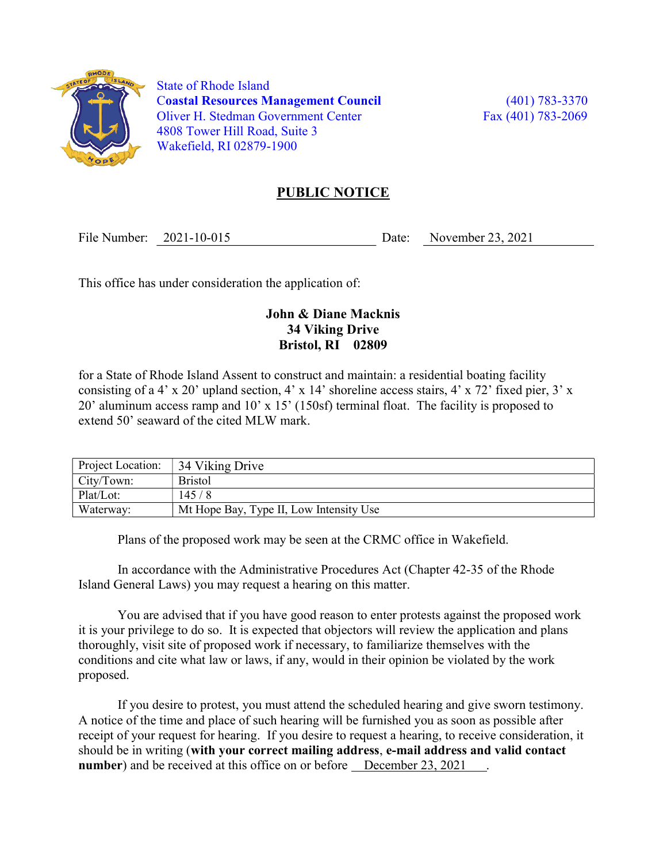

 State of Rhode Island Coastal Resources Management Council (401) 783-3370 Oliver H. Stedman Government Center Fax (401) 783-2069 4808 Tower Hill Road, Suite 3 Wakefield, RI 02879-1900

## PUBLIC NOTICE

File Number: 2021-10-015 Date: November 23, 2021

This office has under consideration the application of:

## John & Diane Macknis 34 Viking Drive Bristol, RI 02809

for a State of Rhode Island Assent to construct and maintain: a residential boating facility consisting of a 4' x 20' upland section, 4' x 14' shoreline access stairs, 4' x 72' fixed pier, 3' x 20' aluminum access ramp and 10' x 15' (150sf) terminal float. The facility is proposed to extend 50' seaward of the cited MLW mark.

| Project Location: | 34 Viking Drive                         |
|-------------------|-----------------------------------------|
| City/Town:        | <b>Bristol</b>                          |
| Plat/Lot:         | 145/8                                   |
| Waterway:         | Mt Hope Bay, Type II, Low Intensity Use |

Plans of the proposed work may be seen at the CRMC office in Wakefield.

In accordance with the Administrative Procedures Act (Chapter 42-35 of the Rhode Island General Laws) you may request a hearing on this matter.

You are advised that if you have good reason to enter protests against the proposed work it is your privilege to do so. It is expected that objectors will review the application and plans thoroughly, visit site of proposed work if necessary, to familiarize themselves with the conditions and cite what law or laws, if any, would in their opinion be violated by the work proposed.

If you desire to protest, you must attend the scheduled hearing and give sworn testimony. A notice of the time and place of such hearing will be furnished you as soon as possible after receipt of your request for hearing. If you desire to request a hearing, to receive consideration, it should be in writing (with your correct mailing address, e-mail address and valid contact number) and be received at this office on or before December 23, 2021.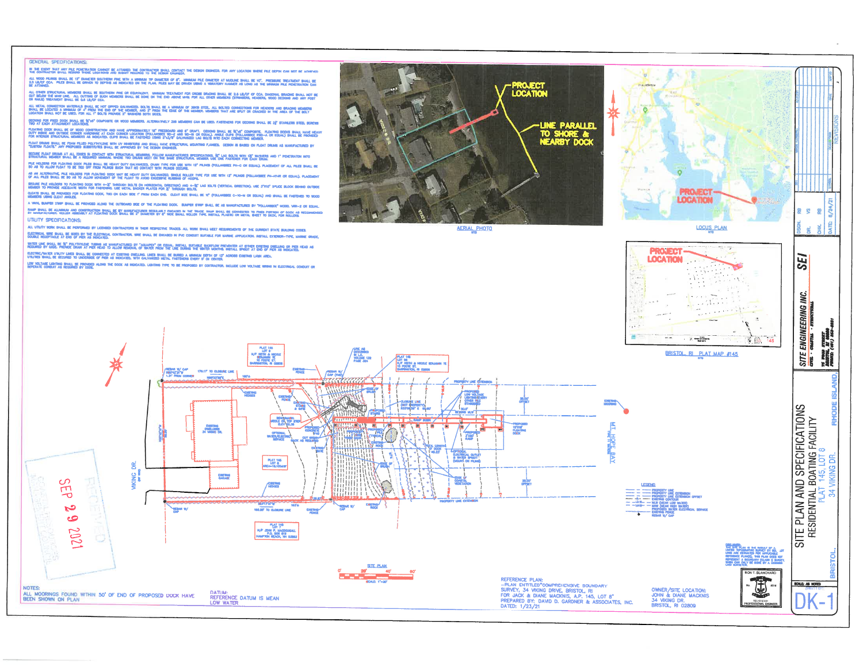## GENERAL SPECIFICATIONS:

in the event that any pul foretration cannot be attaned the contraction shall contact the obtain dromers, for any location where pul depth can not be achieved<br>The contractor bhall record those locations and subait records

.<br>2.5 unos filmos sual se 12º camero southemp pre with a minima to camero per o come tratificat musicar esta ex<br>2. a marca - Piles Shall be ormen to depins as nodcated on the flax. Piles wave between variour as a minima me ede shall be southern fine or equivalent. Whousan treatment for order drading shall be 2,6 lb/of of coa. Dagonal braging shall not be<br>NL outring of such nidiries shall be done on the exo above whil for all other members (t

niction haviorals ball, be hot diffid galvanced. Bolts baal be a minima of sincs stud, all bolts consections for heading and bracing hidged<br>Tid a mhrua of 4° prim find of the housie, wo 2° prim the look of the members hat ALL NETAL COM<br>SHALL BE LOCA

Occions for frod dock shall be §5%" composite or wood wewsers. Alternatively 208 wewspre can be used, fasteners for deciding shall be 2\$" \$

-<br>Duty webse and outside of wood construction and have approbately the presentator and 6° ovaft. Decision ball<br>For wikings structural remember and magnetal club ball (catholic (polarised) with and the on equal and za<br>For w

.<br>"Custon floats" any proposed substitutes with uv renetors and shall have structural mounting flanses, debon is based on float diras as markactured by<br>"Custon floats" any proposed substitutes shall se approved by the debo

skome flan drias at all doos si contact win structural magina. Follow makitactismes spootgatage, §e' lag reits win 15" wasens and 1" powervithi wito<br>Structural momer shal Be a regurso warral wade tho drias welt of the same FUE HOLDERS FOR FLOATING DOOK PILES BHALL BE HEAVY DUTY GALWARZED, CHAN TYPE FOR USE WITH 12" PILINGS (FOLLANSBEE PH-G OR EQUAL). PLACENENT OF<br>30 AS TO ALLOW FLOAT TO BE THEO OPF FROM PILINGS SUCH THAT HO CONTACT WITH PILI

AS AN AUTONIATHE, PILE HOLDENS FOR FLOATING GOOK NAY BE HEAVY DUTY GALWARSED, BINGLE ROLLER TVPE FOR UBE WITH 12" PILNOS (FOLLA<br>OF ALL PILES BHALL BE SO AS TO ALLOW MEVEMBNT OF THE FLOAT TO AVOID EXCENSIVE RUSSING OF HOOPS

SECURE PILE HOLDERS TO PLOATING DOOK WITH 4-3" THROUGH BOLTS (M HORZONTAL DIRECTION) AND 4-35" LAG BOLTS (VERTICAL GREG<br>MIGHIER TO PROVIDE AGEQUATE WORK FOR FASTENING, USE NETAL BACKER PLATES FOR 35" THROUGH BOLTS,

CLEATE SHALL BE PROVIDED FOR FLOATING DOOK, TWO ON EACH SOE 1" FROM EACH END. CLEAT SIZE SHALL BE 10" (F)

A VAPIL BUMPER STARP SHALL BE PROVIDED ALOND THE CUTROAND SIDE OF THE PLOATING DOCK. BUMPER STRIP SHALL BE AS MANUFACTURED BY "YOLLANSEEL" NOOEL VAR-2 OR DOLIAL raw shil se aliabra and construction shal be by hand'acturer recrianity disaged in the trade, raw shal se converted to fred portion of dock as recommen<br>By manufacturer, roller abbourt at floating dock shall be 2" digerter UTILITY SPECIFICATIONS:

ALL UTLITY NOWL BIALL BE PERFORMED BY LICENSED CONTRACTORS WI THERE RESPECTIVE TRADES. ALL NOWL SHALL MEET REQUIREMENTS OF THE DURRENT STATE BUILDING CODES. dochroa, wre bana, be beed by the discriboa, contractor, whe shall be encard in PVC conduit suitable for marke application. Bistall exempliative annume order,<br>Double receptacle at end of Pier as Revolved.

with use svill se st polytivide tubbs as makeactured by "aquare" or equal setail survers readered at ever destriction or per head as<br>Required by Cool Provide Dras at Per Head to alon behovel of with from the USE units wate

electric/water utility likes shall be connected at existing dwelling, lines whall be burked a winnam depth of 12° acrobb existing law area.<br>Utilities shall be secured to underside of pier as wokated, with galvanized weth, LOW VOLTARE LIGHTING SHALL BE PROVIDED ALONG THE DOCK AS RIDICATED, LIGHTING THPE TO BE PROPORED BY CONTRACTOR, INCLUDE LOW VOLTARE WINNG IN ELECTRICAL CONDUIT OR



manden<sub>'s</sub>

**LOCATION** 

**PROJECT** 

**LOCATION** 

**LOCUS PLAN** 

- 1900-1911

**2992** ĕ

¢

**SEI** 

酉



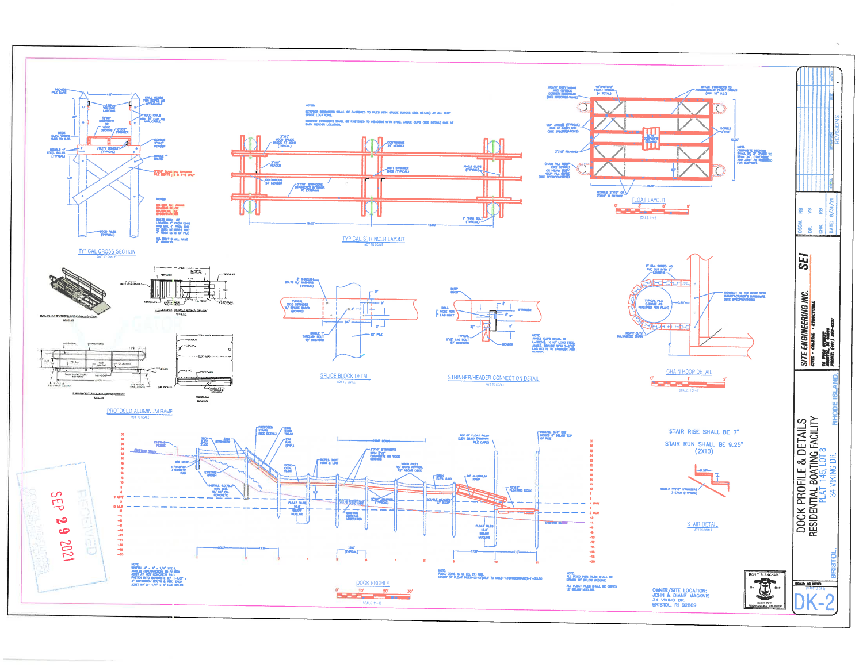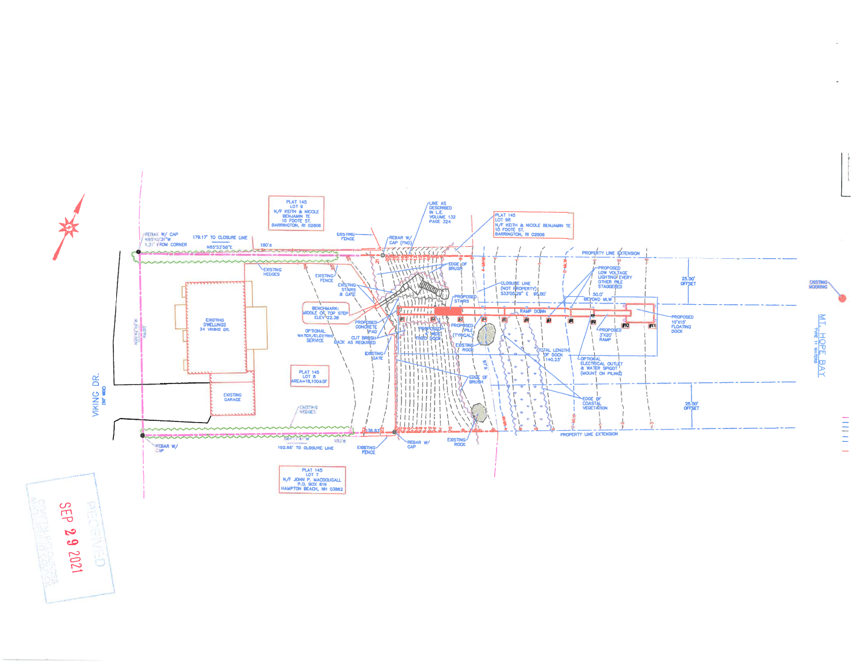